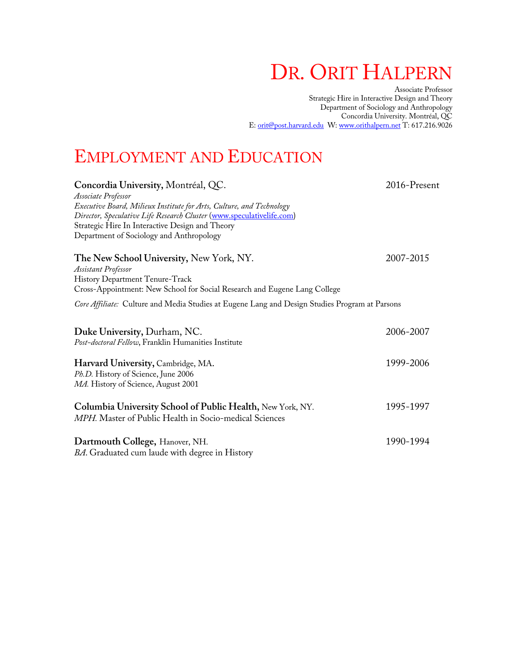# DR. ORIT HALPERN

Associate Professor Strategic Hire in Interactive Design and Theory Department of Sociology and Anthropology Concordia University. Montréal, QC E: orit@post.harvard.edu W: www.orithalpern.net T: 617.216.9026

# EMPLOYMENT AND EDUCATION

| 2016-Present                                                                                   |
|------------------------------------------------------------------------------------------------|
|                                                                                                |
|                                                                                                |
|                                                                                                |
|                                                                                                |
|                                                                                                |
| 2007-2015                                                                                      |
|                                                                                                |
|                                                                                                |
|                                                                                                |
| Core Affiliate: Culture and Media Studies at Eugene Lang and Design Studies Program at Parsons |
| 2006-2007                                                                                      |
|                                                                                                |
| 1999-2006                                                                                      |
|                                                                                                |
| 1995-1997                                                                                      |
|                                                                                                |
| 1990-1994                                                                                      |
|                                                                                                |
|                                                                                                |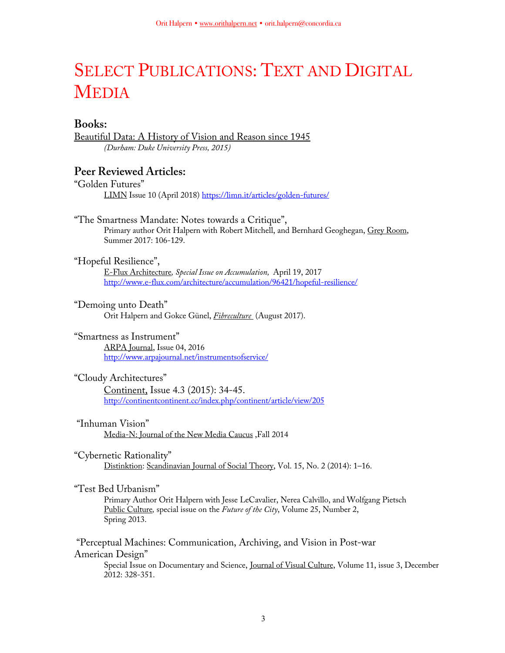# SELECT PUBLICATIONS: TEXT AND DIGITAL **MEDIA**

# **Books:**

Beautiful Data: A History of Vision and Reason since 1945 *(Durham: Duke University Press, 2015)*

# **Peer Reviewed Articles:**

"Golden Futures" LIMN Issue 10 (April 2018) https://limn.it/articles/golden-futures/

### "The Smartness Mandate: Notes towards a Critique", Primary author Orit Halpern with Robert Mitchell, and Bernhard Geoghegan, Grey Room, Summer 2017: 106-129.

# "Hopeful Resilience",

E-Flux Architecture*, Special Issue on Accumulation,* April 19, 2017 http://www.e-flux.com/architecture/accumulation/96421/hopeful-resilience/

# "Demoing unto Death"

Orit Halpern and Gokce Günel, *Fibreculture* (August 2017).

# "Smartness as Instrument"

ARPA Journal, Issue 04, 2016 http://www.arpajournal.net/instrumentsofservice/

## "Cloudy Architectures"

Continent, Issue 4.3 (2015): 34-45. http://continentcontinent.cc/index.php/continent/article/view/205

# "Inhuman Vision"

Media-N: Journal of the New Media Caucus ,Fall 2014

# "Cybernetic Rationality"

Distinktion: Scandinavian Journal of Social Theory, Vol. 15, No. 2 (2014): 1–16.

# "Test Bed Urbanism"

Primary Author Orit Halpern with Jesse LeCavalier, Nerea Calvillo, and Wolfgang Pietsch Public Culture*,* special issue on the *Future of the City*, Volume 25, Number 2, Spring 2013.

"Perceptual Machines: Communication, Archiving, and Vision in Post-war American Design"

Special Issue on Documentary and Science, Journal of Visual Culture, Volume 11, issue 3, December 2012: 328-351.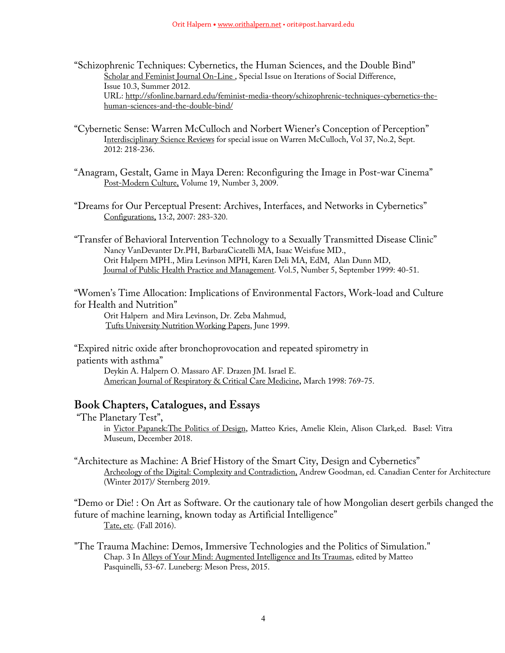- "Schizophrenic Techniques: Cybernetics, the Human Sciences, and the Double Bind" Scholar and Feminist Journal On-Line, Special Issue on Iterations of Social Difference, Issue 10.3, Summer 2012. URL: http://sfonline.barnard.edu/feminist-media-theory/schizophrenic-techniques-cybernetics-thehuman-sciences-and-the-double-bind/
- "Cybernetic Sense: Warren McCulloch and Norbert Wiener's Conception of Perception" Interdisciplinary Science Reviews for special issue on Warren McCulloch, Vol 37, No.2, Sept. 2012: 218-236.
- "Anagram, Gestalt, Game in Maya Deren: Reconfiguring the Image in Post-war Cinema" Post-Modern Culture, Volume 19, Number 3, 2009.
- "Dreams for Our Perceptual Present: Archives, Interfaces, and Networks in Cybernetics" Configurations, 13:2, 2007: 283-320.
- "Transfer of Behavioral Intervention Technology to a Sexually Transmitted Disease Clinic" Nancy VanDevanter Dr.PH, BarbaraCicatelli MA, Isaac Weisfuse MD., Orit Halpern MPH., Mira Levinson MPH, Karen Deli MA, EdM, Alan Dunn MD, Journal of Public Health Practice and Management. Vol.5, Number 5, September 1999: 40-51.

"Women's Time Allocation: Implications of Environmental Factors, Work-load and Culture for Health and Nutrition"

Orit Halpern and Mira Levinson, Dr. Zeba Mahmud, Tufts University Nutrition Working Papers, June 1999.

"Expired nitric oxide after bronchoprovocation and repeated spirometry in patients with asthma" Deykin A. Halpern O. Massaro AF. Drazen JM. Israel E. American Journal of Respiratory & Critical Care Medicine**,** March 1998: 769-75.

# **Book Chapters, Catalogues, and Essays**

- "The Planetary Test", in Victor Papanek:The Politics of Design, Matteo Kries, Amelie Klein, Alison Clark,ed. Basel: Vitra Museum, December 2018.
- "Architecture as Machine: A Brief History of the Smart City, Design and Cybernetics" Archeology of the Digital: Complexity and Contradiction, Andrew Goodman, ed. Canadian Center for Architecture (Winter 2017)/ Sternberg 2019.

"Demo or Die! : On Art as Software. Or the cautionary tale of how Mongolian desert gerbils changed the future of machine learning, known today as Artificial Intelligence" Tate, etc*.* (Fall 2016).

"The Trauma Machine: Demos, Immersive Technologies and the Politics of Simulation." Chap. 3 In Alleys of Your Mind: Augmented Intelligence and Its Traumas, edited by Matteo Pasquinelli, 53-67. Luneberg: Meson Press, 2015.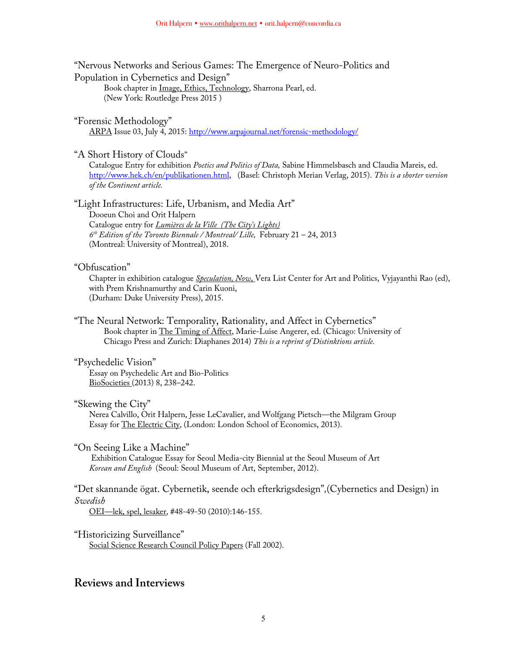"Nervous Networks and Serious Games: The Emergence of Neuro-Politics and Population in Cybernetics and Design" Book chapter in Image, Ethics, Technology, Sharrona Pearl, ed. (New York: Routledge Press 2015 )

"Forensic Methodology" ARPA Issue 03, July 4, 2015: http://www.arpajournal.net/forensic-methodology/

"A Short History of Clouds"

Catalogue Entry for exhibition *Poetics and Politics of Data,* Sabine Himmelsbasch and Claudia Mareis, ed. http://www.hek.ch/en/publikationen.html, (Basel: Christoph Merian Verlag, 2015). *This is a shorter version of the Continent article.*

"Light Infrastructures: Life, Urbanism, and Media Art"

Dooeun Choi and Orit Halpern Catalogue entry for *Lumières de la Ville (The City's Lights) 6th Edition of the Toronto Biennale / Montreal/ Lille,* February 21 – 24, 2013 (Montreal: University of Montreal), 2018.

"Obfuscation"

Chapter in exhibition catalogue *Speculation, Now*, Vera List Center for Art and Politics, Vyjayanthi Rao (ed), with Prem Krishnamurthy and Carin Kuoni, (Durham: Duke University Press), 2015.

"The Neural Network: Temporality, Rationality, and Affect in Cybernetics" Book chapter in The Timing of Affect, Marie-Luise Angerer, ed. (Chicago: University of Chicago Press and Zurich: Diaphanes 2014) *This is a reprint of Distinktions article.*

"Psychedelic Vision" Essay on Psychedelic Art and Bio-Politics BioSocieties (2013) 8, 238–242.

"Skewing the City"

Nerea Calvillo, Orit Halpern, Jesse LeCavalier, and Wolfgang Pietsch—the Milgram Group Essay for The Electric City, (London: London School of Economics, 2013).

"On Seeing Like a Machine"

Exhibition Catalogue Essay for Seoul Media-city Biennial at the Seoul Museum of Art *Korean and English* (Seoul: Seoul Museum of Art, September, 2012).

"Det skannande ögat. Cybernetik, seende och efterkrigsdesign"*,*(Cybernetics and Design) in *Swedish*

OEI—lek, spel, lesaker, #48-49-50 (2010):146-155.

"Historicizing Surveillance" Social Science Research Council Policy Papers (Fall 2002).

# **Reviews and Interviews**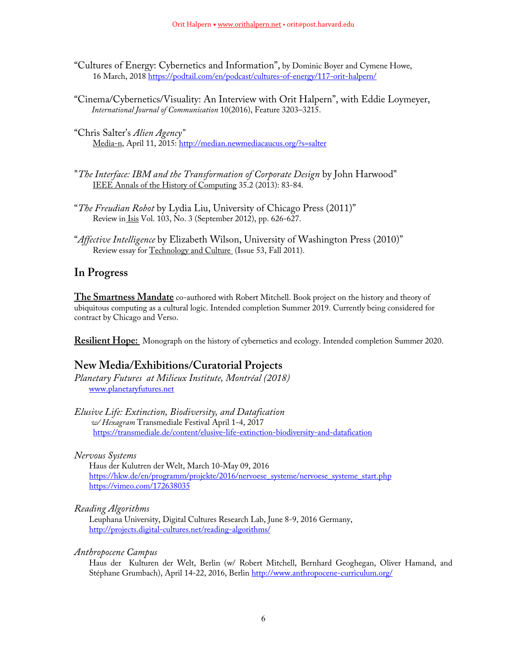- "Cultures of Energy: Cybernetics and Information", by Dominic Boyer and Cymene Howe, 16 March, 2018 https://podtail.com/en/podcast/cultures-of-energy/117-orit-halpern/
- "Cinema/Cybernetics/Visuality: An Interview with Orit Halpern", with Eddie Loymeyer, *International Journal of Communication* 10(2016), Feature 3203–3215.

"Chris Salter's *Alien Agency"* Media-n, April 11, 2015: http://median.newmediacaucus.org/?s=salter

- "*The Interface: IBM and the Transformation of Corporate Design* by John Harwood" IEEE Annals of the History of Computing 35.2 (2013): 83-84.
- "*The Freudian Robot* by Lydia Liu, University of Chicago Press (2011)" Review in Isis Vol. 103, No. 3 (September 2012), pp. 626-627.
- "*Affective Intelligence* by Elizabeth Wilson, University of Washington Press (2010)" Review essay for Technology and Culture (Issue 53, Fall 2011).

# **In Progress**

**The Smartness Mandate** co-authored with Robert Mitchell. Book project on the history and theory of ubiquitous computing as a cultural logic. Intended completion Summer 2019. Currently being considered for contract by Chicago and Verso.

**Resilient Hope:** Monograph on the history of cybernetics and ecology. Intended completion Summer 2020.

# **New Media/Exhibitions/Curatorial Projects**

*Planetary Futures at Milieux Institute, Montréal (2018)* www.planetaryfutures.net

*Elusive Life: Extinction, Biodiversity, and Datafication w/ Hexagram* Transmediale Festival April 1-4, 2017 https://transmediale.de/content/elusive-life-extinction-biodiversity-and-datafication

*Nervous Systems*

Haus der Kulutren der Welt, March 10-May 09, 2016 https://hkw.de/en/programm/projekte/2016/nervoese\_systeme/nervoese\_systeme\_start.php https://vimeo.com/172638035

## *Reading Algorithms*

Leuphana University, Digital Cultures Research Lab, June 8-9, 2016 Germany, http://projects.digital-cultures.net/reading-algorithms/

## *Anthropocene Campus*

Haus der Kulturen der Welt, Berlin (w/ Robert Mitchell, Bernhard Geoghegan, Oliver Hamand, and Stéphane Grumbach), April 14-22, 2016, Berlin http://www.anthropocene-curriculum.org/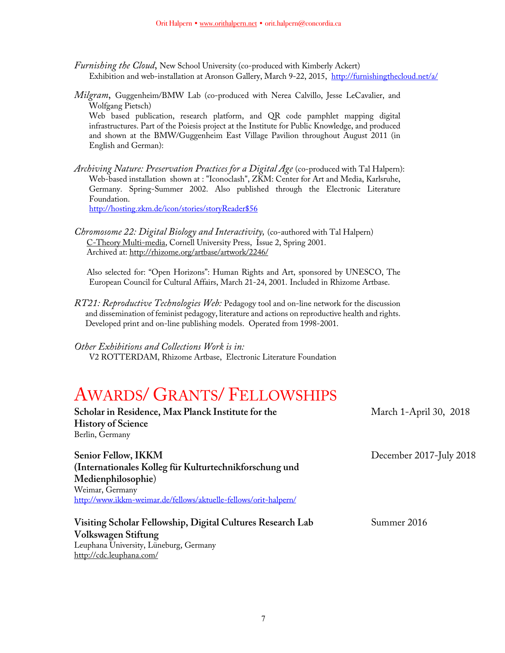- *Furnishing the Cloud*, New School University (co-produced with Kimberly Ackert) Exhibition and web-installation at Aronson Gallery, March 9-22, 2015, http://furnishingthecloud.net/a/
- *Milgram*, Guggenheim/BMW Lab (co-produced with Nerea Calvillo, Jesse LeCavalier, and Wolfgang Pietsch)

Web based publication, research platform, and QR code pamphlet mapping digital infrastructures. Part of the Poiesis project at the Institute for Public Knowledge, and produced and shown at the BMW/Guggenheim East Village Pavilion throughout August 2011 (in English and German):

*Archiving Nature: Preservation Practices for a Digital Age* (co-produced with Tal Halpern): Web-based installation shown at : "Iconoclash", ZKM: Center for Art and Media, Karlsruhe, Germany. Spring-Summer 2002. Also published through the Electronic Literature Foundation.

http://hosting.zkm.de/icon/stories/storyReader\$56

*Chromosome 22: Digital Biology and Interactivity,* (co-authored with Tal Halpern) C-Theory Multi-media, Cornell University Press, Issue 2, Spring 2001. Archived at: http://rhizome.org/artbase/artwork/2246/

Also selected for: "Open Horizons": Human Rights and Art, sponsored by UNESCO, The European Council for Cultural Affairs, March 21-24, 2001. Included in Rhizome Artbase.

*RT21: Reproductive Technologies Web:* Pedagogy tool and on-line network for the discussion and dissemination of feminist pedagogy, literature and actions on reproductive health and rights. Developed print and on-line publishing models. Operated from 1998-2001.

*Other Exhibitions and Collections Work is in:* 

V2 ROTTERDAM, Rhizome Artbase, Electronic Literature Foundation

# AWARDS/ GRANTS/ FELLOWSHIPS

| Scholar in Residence, Max Planck Institute for the<br><b>History of Science</b> | March 1-April 30, 2018  |
|---------------------------------------------------------------------------------|-------------------------|
| Berlin, Germany                                                                 |                         |
| Senior Fellow, IKKM                                                             | December 2017-July 2018 |
| (Internationales Kolleg für Kulturtechnikforschung und                          |                         |
| Medienphilosophie)                                                              |                         |
| Weimar, Germany                                                                 |                         |
| http://www.ikkm-weimar.de/fellows/aktuelle-fellows/orit-halpern/                |                         |
| Visiting Scholar Fellowship, Digital Cultures Research Lab                      | Summer 2016             |
| Volkswagen Stiftung                                                             |                         |
| Leuphana University, Lüneburg, Germany                                          |                         |
| http://cdc.leuphana.com/                                                        |                         |
|                                                                                 |                         |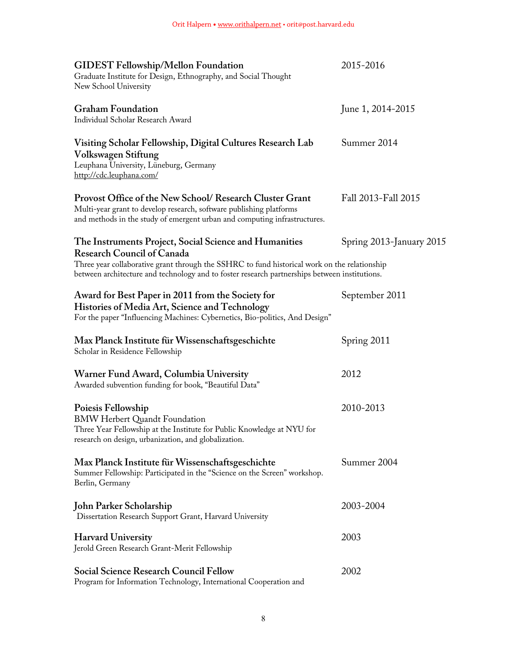| <b>GIDEST Fellowship/Mellon Foundation</b><br>Graduate Institute for Design, Ethnography, and Social Thought<br>New School University                                                                        | 2015-2016                |
|--------------------------------------------------------------------------------------------------------------------------------------------------------------------------------------------------------------|--------------------------|
| <b>Graham Foundation</b><br>Individual Scholar Research Award                                                                                                                                                | June 1, 2014-2015        |
| Visiting Scholar Fellowship, Digital Cultures Research Lab<br>Volkswagen Stiftung<br>Leuphana University, Lüneburg, Germany<br>http://cdc.leuphana.com/                                                      | Summer 2014              |
| Provost Office of the New School/ Research Cluster Grant<br>Multi-year grant to develop research, software publishing platforms<br>and methods in the study of emergent urban and computing infrastructures. | Fall 2013-Fall 2015      |
| The Instruments Project, Social Science and Humanities<br><b>Research Council of Canada</b>                                                                                                                  | Spring 2013-January 2015 |
| Three year collaborative grant through the SSHRC to fund historical work on the relationship<br>between architecture and technology and to foster research partnerships between institutions.                |                          |
| Award for Best Paper in 2011 from the Society for<br>Histories of Media Art, Science and Technology<br>For the paper "Influencing Machines: Cybernetics, Bio-politics, And Design"                           | September 2011           |
| Max Planck Institute für Wissenschaftsgeschichte<br>Scholar in Residence Fellowship                                                                                                                          | Spring 2011              |
| Warner Fund Award, Columbia University<br>Awarded subvention funding for book, "Beautiful Data"                                                                                                              | 2012                     |
| Poiesis Fellowship<br><b>BMW Herbert Quandt Foundation</b><br>Three Year Fellowship at the Institute for Public Knowledge at NYU for<br>research on design, urbanization, and globalization.                 | 2010-2013                |
| Max Planck Institute für Wissenschaftsgeschichte<br>Summer Fellowship: Participated in the "Science on the Screen" workshop.<br>Berlin, Germany                                                              | Summer 2004              |
| John Parker Scholarship<br>Dissertation Research Support Grant, Harvard University                                                                                                                           | 2003-2004                |
| <b>Harvard University</b><br>Jerold Green Research Grant-Merit Fellowship                                                                                                                                    | 2003                     |
| <b>Social Science Research Council Fellow</b><br>Program for Information Technology, International Cooperation and                                                                                           | 2002                     |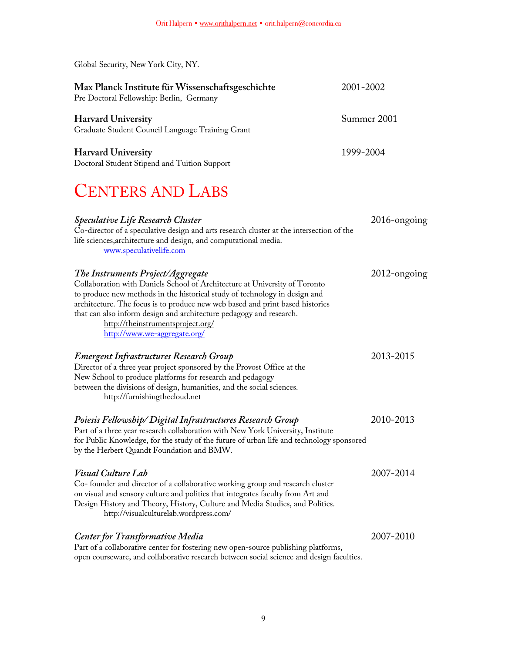| Global Security, New York City, NY.                                                                                                                                                                                                                                                                                                                                                                                        |                 |
|----------------------------------------------------------------------------------------------------------------------------------------------------------------------------------------------------------------------------------------------------------------------------------------------------------------------------------------------------------------------------------------------------------------------------|-----------------|
| Max Planck Institute für Wissenschaftsgeschichte<br>Pre Doctoral Fellowship: Berlin, Germany                                                                                                                                                                                                                                                                                                                               | 2001-2002       |
| <b>Harvard University</b><br>Graduate Student Council Language Training Grant                                                                                                                                                                                                                                                                                                                                              | Summer 2001     |
| <b>Harvard University</b><br>Doctoral Student Stipend and Tuition Support                                                                                                                                                                                                                                                                                                                                                  | 1999-2004       |
| <b>CENTERS AND LABS</b>                                                                                                                                                                                                                                                                                                                                                                                                    |                 |
| <b>Speculative Life Research Cluster</b><br>Co-director of a speculative design and arts research cluster at the intersection of the<br>life sciences, architecture and design, and computational media.<br>www.speculativelife.com                                                                                                                                                                                        | 2016-ongoing    |
| The Instruments Project/Aggregate<br>Collaboration with Daniels School of Architecture at University of Toronto<br>to produce new methods in the historical study of technology in design and<br>architecture. The focus is to produce new web based and print based histories<br>that can also inform design and architecture pedagogy and research.<br>http://theinstrumentsproject.org/<br>http://www.we-aggregate.org/ | $2012$ -ongoing |
| Emergent Infrastructures Research Group<br>Director of a three year project sponsored by the Provost Office at the<br>New School to produce platforms for research and pedagogy<br>between the divisions of design, humanities, and the social sciences.<br>http://furnishingthecloud.net                                                                                                                                  | 2013-2015       |
| Poiesis Fellowship/Digital Infrastructures Research Group<br>Part of a three year research collaboration with New York University, Institute<br>for Public Knowledge, for the study of the future of urban life and technology sponsored<br>by the Herbert Quandt Foundation and BMW.                                                                                                                                      | 2010-2013       |
| <i><b>Visual Culture Lab</b></i><br>Co- founder and director of a collaborative working group and research cluster<br>on visual and sensory culture and politics that integrates faculty from Art and<br>Design History and Theory, History, Culture and Media Studies, and Politics.<br>http://visualculturelab.wordpress.com/                                                                                            | 2007-2014       |
| <b>Center for Transformative Media</b><br>Part of a collaborative center for fostering new open-source publishing platforms,<br>open courseware, and collaborative research between social science and design faculties.                                                                                                                                                                                                   | 2007-2010       |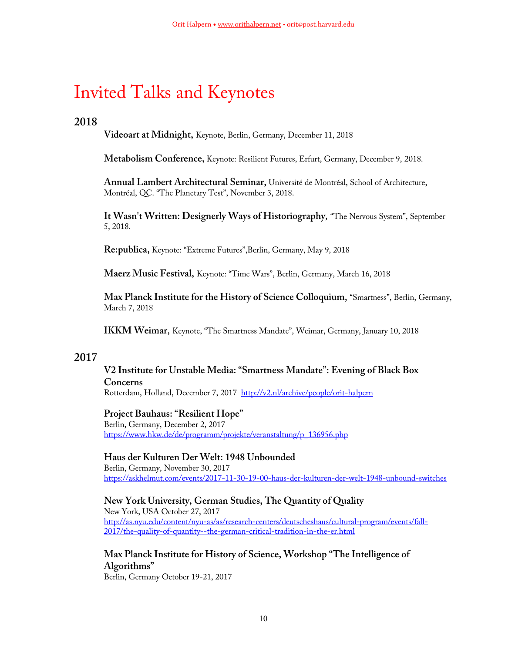# Invited Talks and Keynotes

# **2018**

**Videoart at Midnight,** Keynote, Berlin, Germany, December 11, 2018

**Metabolism Conference,** Keynote: Resilient Futures, Erfurt, Germany, December 9, 2018.

**Annual Lambert Architectural Seminar,** Université de Montréal, School of Architecture, Montréal, QC. "The Planetary Test", November 3, 2018.

**It Wasn't Written: Designerly Ways of Historiography***,* "The Nervous System", September 5, 2018.

**Re:publica,** Keynote: "Extreme Futures",Berlin, Germany, May 9, 2018

**Maerz Music Festival,** Keynote: "Time Wars", Berlin, Germany, March 16, 2018

**Max Planck Institute for the History of Science Colloquium**, "Smartness", Berlin, Germany, March 7, 2018

**IKKM Weimar**, Keynote, "The Smartness Mandate", Weimar, Germany, January 10, 2018

# **2017**

# **V2 Institute for Unstable Media: "Smartness Mandate": Evening of Black Box Concerns** Rotterdam, Holland, December 7, 2017 http://v2.nl/archive/people/orit-halpern

# **Project Bauhaus: "Resilient Hope"**

Berlin, Germany, December 2, 2017 https://www.hkw.de/de/programm/projekte/veranstaltung/p\_136956.php

**Haus der Kulturen Der Welt: 1948 Unbounded** Berlin, Germany, November 30, 2017 https://askhelmut.com/events/2017-11-30-19-00-haus-der-kulturen-der-welt-1948-unbound-switches

**New York University, German Studies, The Quantity of Quality** New York, USA October 27, 2017 http://as.nyu.edu/content/nyu-as/as/research-centers/deutscheshaus/cultural-program/events/fall-2017/the-quality-of-quantity--the-german-critical-tradition-in-the-er.html

**Max Planck Institute for History of Science, Workshop "The Intelligence of Algorithms"**

Berlin, Germany October 19-21, 2017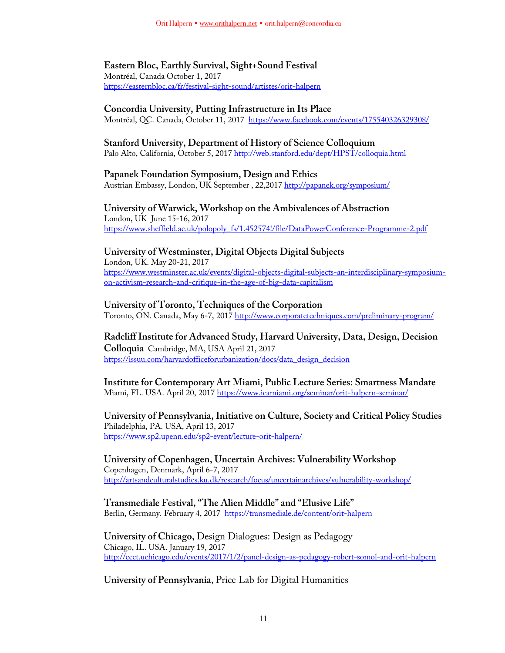# **Eastern Bloc, Earthly Survival, Sight+Sound Festival**

Montréal, Canada October 1, 2017 https://easternbloc.ca/fr/festival-sight-sound/artistes/orit-halpern

## **Concordia University, Putting Infrastructure in Its Place**

Montréal, QC. Canada, October 11, 2017 https://www.facebook.com/events/175540326329308/

## **Stanford University, Department of History of Science Colloquium**

Palo Alto, California, October 5, 2017 http://web.stanford.edu/dept/HPST/colloquia.html

## **Papanek Foundation Symposium, Design and Ethics**

Austrian Embassy, London, UK September, 22,2017 http://papanek.org/symposium/

# **University of Warwick, Workshop on the Ambivalences of Abstraction**

London, UK June 15-16, 2017 https://www.sheffield.ac.uk/polopoly\_fs/1.452574!/file/DataPowerConference-Programme-2.pdf

# **University of Westminster, Digital Objects Digital Subjects**

London, UK. May 20-21, 2017 https://www.westminster.ac.uk/events/digital-objects-digital-subjects-an-interdisciplinary-symposiumon-activism-research-and-critique-in-the-age-of-big-data-capitalism

# **University of Toronto, Techniques of the Corporation**

Toronto, ON. Canada, May 6-7, 2017 http://www.corporatetechniques.com/preliminary-program/

# **Radcliff Institute for Advanced Study, Harvard University, Data, Design, Decision Colloquia** Cambridge, MA, USA April 21, 2017 https://issuu.com/harvardofficeforurbanization/docs/data\_design\_decision

**Institute for Contemporary Art Miami, Public Lecture Series: Smartness Mandate** Miami, FL. USA. April 20, 2017 https://www.icamiami.org/seminar/orit-halpern-seminar/

## **University of Pennsylvania, Initiative on Culture, Society and Critical Policy Studies** Philadelphia, PA. USA, April 13, 2017 https://www.sp2.upenn.edu/sp2-event/lecture-orit-halpern/

**University of Copenhagen, Uncertain Archives: Vulnerability Workshop** Copenhagen, Denmark, April 6-7, 2017 http://artsandculturalstudies.ku.dk/research/focus/uncertainarchives/vulnerability-workshop/

## **Transmediale Festival, "The Alien Middle" and "Elusive Life"** Berlin, Germany. February 4, 2017 https://transmediale.de/content/orit-halpern

**University of Chicago,** Design Dialogues: Design as Pedagogy Chicago, IL. USA. January 19, 2017 http://ccct.uchicago.edu/events/2017/1/2/panel-design-as-pedagogy-robert-somol-and-orit-halpern

# **University of Pennsylvania***,* Price Lab for Digital Humanities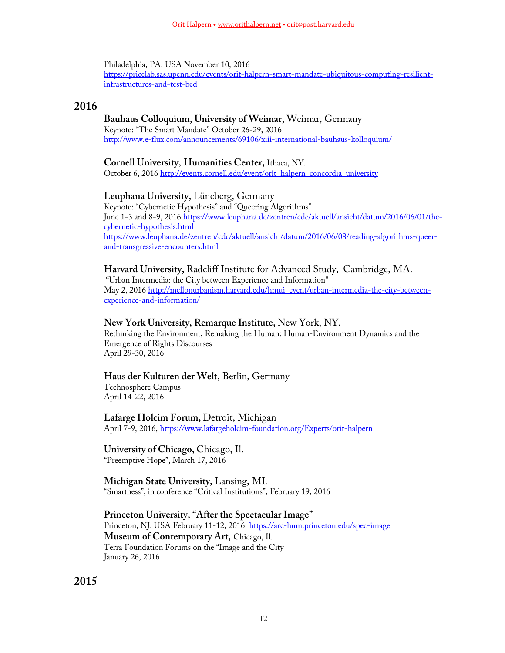Philadelphia, PA. USA November 10, 2016 https://pricelab.sas.upenn.edu/events/orit-halpern-smart-mandate-ubiquitous-computing-resilientinfrastructures-and-test-bed

# **2016**

## **Bauhaus Colloquium, University of Weimar,** Weimar, Germany

Keynote: "The Smart Mandate" October 26-29, 2016 http://www.e-flux.com/announcements/69106/xiii-international-bauhaus-kolloquium/

## **Cornell University**, **Humanities Center,** Ithaca, NY.

October 6, 2016 http://events.cornell.edu/event/orit\_halpern\_concordia\_university

# **Leuphana University,** Lüneberg, Germany

Keynote: "Cybernetic Hypothesis" and "Queering Algorithms" June 1-3 and 8-9, 2016 https://www.leuphana.de/zentren/cdc/aktuell/ansicht/datum/2016/06/01/thecybernetic-hypothesis.html https://www.leuphana.de/zentren/cdc/aktuell/ansicht/datum/2016/06/08/reading-algorithms-queerand-transgressive-encounters.html

# **Harvard University,** Radcliff Institute for Advanced Study, Cambridge, MA.

"Urban Intermedia: the City between Experience and Information" May 2, 2016 http://mellonurbanism.harvard.edu/hmui\_event/urban-intermedia-the-city-betweenexperience-and-information/

# **New York University, Remarque Institute,** New York, NY.

Rethinking the Environment, Remaking the Human: Human-Environment Dynamics and the Emergence of Rights Discourses April 29-30, 2016

# **Haus der Kulturen der Welt,** Berlin, Germany

Technosphere Campus April 14-22, 2016

**Lafarge Holcim Forum,** Detroit, Michigan April 7-9, 2016, https://www.lafargeholcim-foundation.org/Experts/orit-halpern

**University of Chicago,** Chicago, Il. "Preemptive Hope", March 17, 2016

**Michigan State University,** Lansing, MI. "Smartness", in conference "Critical Institutions", February 19, 2016

**Princeton University, "After the Spectacular Image"** Princeton, NJ. USA February 11-12, 2016 https://arc-hum.princeton.edu/spec-image **Museum of Contemporary Art,** Chicago, Il. Terra Foundation Forums on the "Image and the City January 26, 2016

**2015**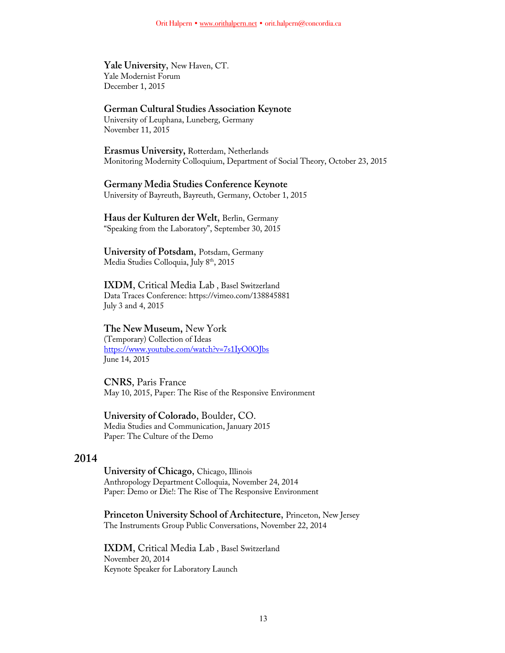**Yale University**, New Haven, CT. Yale Modernist Forum December 1, 2015

## **German Cultural Studies Association Keynote**

University of Leuphana, Luneberg, Germany November 11, 2015

**Erasmus University,** Rotterdam, Netherlands Monitoring Modernity Colloquium, Department of Social Theory, October 23, 2015

#### **Germany Media Studies Conference Keynote**

University of Bayreuth, Bayreuth, Germany, October 1, 2015

### **Haus der Kulturen der Welt**, Berlin, Germany "Speaking from the Laboratory", September 30, 2015

**University of Potsdam**, Potsdam, Germany Media Studies Colloquia, July 8<sup>th</sup>, 2015

**IXDM**, Critical Media Lab , Basel Switzerland Data Traces Conference: https://vimeo.com/138845881 July 3 and 4, 2015

### **The New Museum,** New York

(Temporary) Collection of Ideas https://www.youtube.com/watch?v=7s1IyO0OJbs June 14, 2015

**CNRS**, Paris France May 10, 2015, Paper: The Rise of the Responsive Environment

# **University of Colorado**, Boulder, CO.

Media Studies and Communication, January 2015 Paper: The Culture of the Demo

## **2014**

**University of Chicago**, Chicago, Illinois Anthropology Department Colloquia, November 24, 2014 Paper: Demo or Die!: The Rise of The Responsive Environment

**Princeton University School of Architecture**, Princeton, New Jersey The Instruments Group Public Conversations, November 22, 2014

**IXDM**, Critical Media Lab , Basel Switzerland November 20, 2014 Keynote Speaker for Laboratory Launch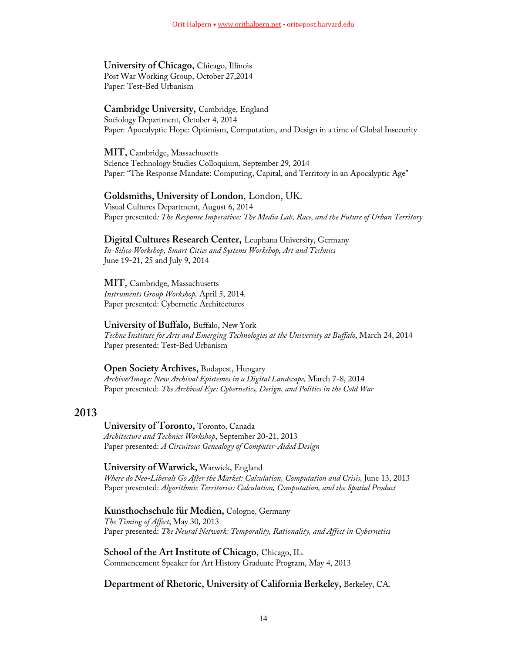# **University of Chicago**, Chicago, Illinois

Post War Working Group, October 27,2014 Paper: Test-Bed Urbanism

## **Cambridge University,** Cambridge, England

Sociology Department, October 4, 2014 Paper: Apocalyptic Hope: Optimism, Computation, and Design in a time of Global Insecurity

**MIT,** Cambridge, Massachusetts Science Technology Studies Colloquium, September 29, 2014 Paper: "The Response Mandate: Computing, Capital, and Territory in an Apocalyptic Age"

## **Goldsmiths, University of London**, London, UK.

Visual Cultures Department, August 6, 2014 Paper presented*: The Response Imperative: The Media Lab, Race, and the Future of Urban Territory*

## **Digital Cultures Research Center,** Leuphana University, Germany

*In-Silico Workshop, Smart Cities and Systems Workshop, Art and Technics* June 19-21, 25 and July 9, 2014

# **MIT**, Cambridge, Massachusetts

*Instruments Group Workshop,* April 5, 2014. Paper presented: Cybernetic Architectures

## **University of Buffalo,** Buffalo, New York

*Techne Institute for Arts and Emerging Technologies at the University at Buffalo*, March 24, 2014 Paper presented: Test-Bed Urbanism

## **Open Society Archives,** Budapest, Hungary

*Archive/Image: New Archival Epistemes in a Digital Landscape,* March 7-8, 2014 Paper presented: *The Archival Eye: Cybernetics, Design, and Politics in the Cold War*

# **2013**

### **University of Toronto,** Toronto, Canada *Architecture and Technics Workshop*, September 20-21, 2013 Paper presented: *A Circuitous Genealogy of Computer-Aided Design*

**University of Warwick,** Warwick, England *Where do Neo-Liberals Go After the Market: Calculation, Computation and Crisis, June 13, 2013* Paper presented: *Algorithmic Territories: Calculation, Computation, and the Spatial Product*

**Kunsthochschule für Medien,** Cologne, Germany *The Timing of Affect*, May 30, 2013 Paper presented: *The Neural Network: Temporality, Rationality, and Affect in Cybernetics*

**School of the Art Institute of Chicago**, Chicago, IL. Commencement Speaker for Art History Graduate Program, May 4, 2013

**Department of Rhetoric, University of California Berkeley,** Berkeley, CA.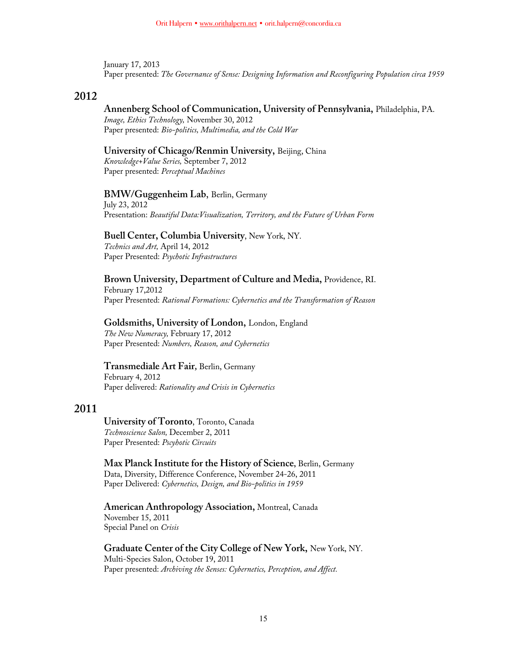January 17, 2013 Paper presented: *The Governance of Sense: Designing Information and Reconfiguring Population circa 1959*

## **2012**

### **Annenberg School of Communication, University of Pennsylvania,** Philadelphia, PA.

*Image, Ethics Technology,* November 30, 2012 Paper presented: *Bio-politics, Multimedia, and the Cold War*

# **University of Chicago/Renmin University,** Beijing, China

*Knowledge+Value Series,* September 7, 2012 Paper presented: *Perceptual Machines*

#### **BMW/Guggenheim Lab**, Berlin, Germany

July 23, 2012 Presentation: *Beautiful Data:Visualization, Territory, and the Future of Urban Form*

# **Buell Center, Columbia University**, New York, NY.

*Technics and Art,* April 14, 2012 Paper Presented: *Psychotic Infrastructures*

## **Brown University, Department of Culture and Media,** Providence, RI.

February 17,2012 Paper Presented: *Rational Formations: Cybernetics and the Transformation of Reason*

#### **Goldsmiths, University of London,** London, England

*The New Numeracy,* February 17, 2012 Paper Presented: *Numbers, Reason, and Cybernetics*

#### **Transmediale Art Fair***,* Berlin, Germany

February 4, 2012 Paper delivered: *Rationality and Crisis in Cybernetics*

# **2011**

**University of Toronto**, Toronto, Canada *Technoscience Salon,* December 2, 2011 Paper Presented: *Pscyhotic Circuits*

**Max Planck Institute for the History of Science,** Berlin, Germany Data, Diversity, Difference Conference, November 24-26, 2011 Paper Delivered: *Cybernetics, Design, and Bio-politics in 1959*

### **American Anthropology Association,** Montreal, Canada November 15, 2011 Special Panel on *Crisis*

**Graduate Center of the City College of New York,** New York, NY. Multi-Species Salon, October 19, 2011 Paper presented: *Archiving the Senses: Cybernetics, Perception, and Affect.*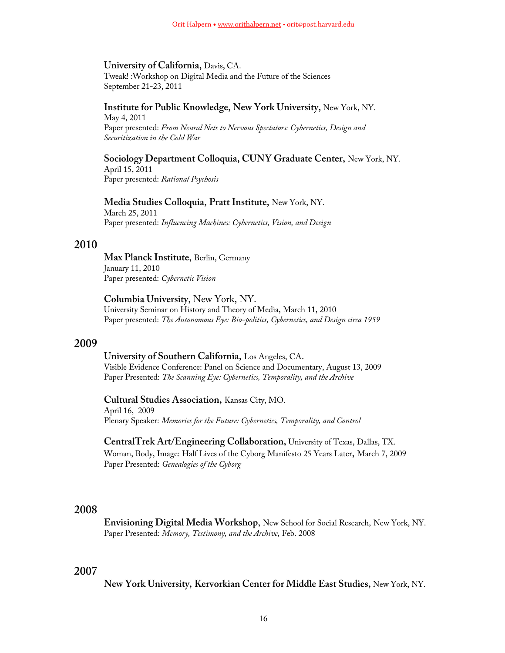#### **University of California,** Davis**,** CA.

Tweak! :Workshop on Digital Media and the Future of the Sciences September 21-23, 2011

## **Institute for Public Knowledge, New York University,** New York, NY.

May 4, 2011 Paper presented: *From Neural Nets to Nervous Spectators: Cybernetics, Design and Securitization in the Cold War*

**Sociology Department Colloquia, CUNY Graduate Center,** New York, NY. April 15, 2011 Paper presented: *Rational Psychosis*

### **Media Studies Colloquia**, **Pratt Institute**, New York, NY. March 25, 2011

Paper presented: *Influencing Machines: Cybernetics, Vision, and Design*

## **2010**

**Max Planck Institute**, Berlin, Germany January 11, 2010 Paper presented: *Cybernetic Vision*

**Columbia University**, New York, NY. University Seminar on History and Theory of Media, March 11, 2010 Paper presented: *The Autonomous Eye: Bio-politics, Cybernetics, and Design circa 1959*

### **2009**

#### **University of Southern California**, Los Angeles, CA.

Visible Evidence Conference: Panel on Science and Documentary, August 13, 2009 Paper Presented: *The Scanning Eye: Cybernetics, Temporality, and the Archive*

**Cultural Studies Association,** Kansas City, MO. April 16, 2009 Plenary Speaker: *Memories for the Future: Cybernetics, Temporality, and Control*

**CentralTrek Art/Engineering Collaboration,** University of Texas, Dallas, TX. Woman, Body, Image: Half Lives of the Cyborg Manifesto 25 Years Later, March 7, 2009 Paper Presented: *Genealogies of the Cyborg*

## **2008**

**Envisioning Digital Media Workshop**, New School for Social Research, New York, NY. Paper Presented: *Memory, Testimony, and the Archive,* Feb. 2008

## **2007**

**New York University, Kervorkian Center for Middle East Studies,** New York, NY.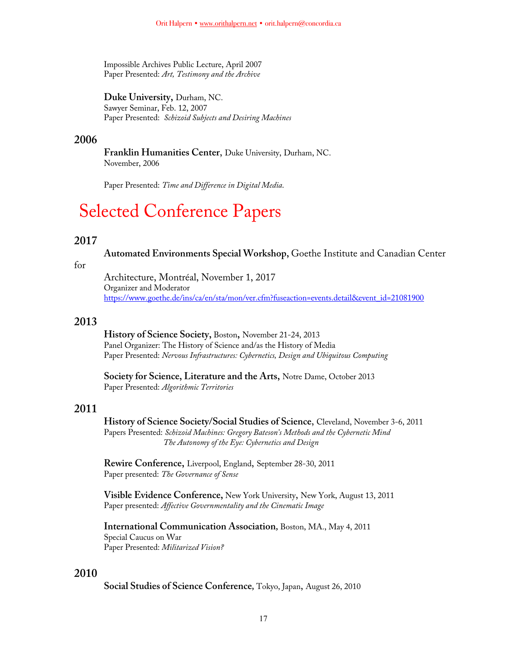Impossible Archives Public Lecture, April 2007 Paper Presented: *Art, Testimony and the Archive*

**Duke University,** Durham, NC. Sawyer Seminar, Feb. 12, 2007 Paper Presented: *Schizoid Subjects and Desiring Machines*

## **2006**

**Franklin Humanities Center**, Duke University, Durham, NC. November, 2006

Paper Presented: *Time and Difference in Digital Media*.

# Selected Conference Papers

# **2017**

**Automated Environments Special Workshop,** Goethe Institute and Canadian Center

for

Architecture, Montréal, November 1, 2017 Organizer and Moderator https://www.goethe.de/ins/ca/en/sta/mon/ver.cfm?fuseaction=events.detail&event\_id=21081900

## **2013**

**History of Science Society,** Boston**,** November 21-24, 2013 Panel Organizer: The History of Science and/as the History of Media Paper Presented: *Nervous Infrastructures: Cybernetics, Design and Ubiquitous Computing*

**Society for Science, Literature and the Arts,** Notre Dame, October 2013 Paper Presented: *Algorithmic Territories*

# **2011**

**History of Science Society/Social Studies of Science**, Cleveland, November 3-6, 2011 Papers Presented: *Schizoid Machines: Gregory Bateson's Methods and the Cybernetic Mind The Autonomy of the Eye: Cybernetics and Design*

**Rewire Conference,** Liverpool, England, September 28-30, 2011 Paper presented: *The Governance of Sense*

**Visible Evidence Conference,** New York University, New York, August 13, 2011 Paper presented: *Affective Governmentality and the Cinematic Image*

**International Communication Association***,* Boston, MA., May 4, 2011 Special Caucus on War Paper Presented: *Militarized Vision?*

# **2010**

**Social Studies of Science Conference***,* Tokyo, Japan, August 26, 2010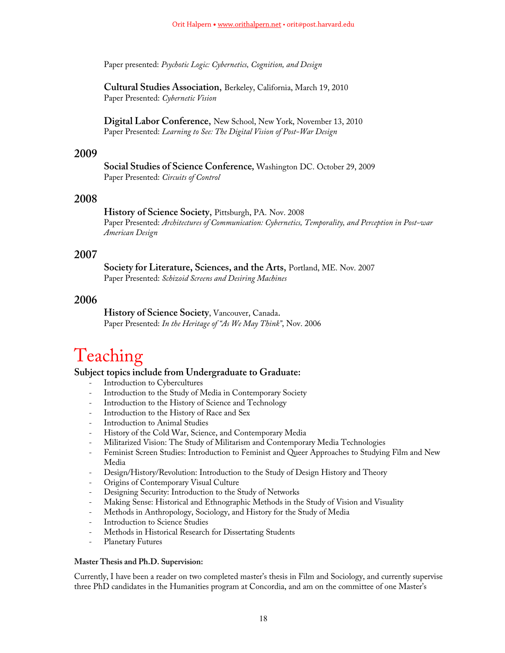Paper presented: *Psychotic Logic: Cybernetics, Cognition, and Design*

**Cultural Studies Association**, Berkeley, California, March 19, 2010 Paper Presented: *Cybernetic Vision* 

**Digital Labor Conference**, New School, New York, November 13, 2010 Paper Presented: *Learning to See: The Digital Vision of Post-War Design*

## **2009**

**Social Studies of Science Conference***,* Washington DC. October 29, 2009 Paper Presented: *Circuits of Control*

## **2008**

**History of Science Society**, Pittsburgh, PA. Nov. 2008 Paper Presented: *Architectures of Communication: Cybernetics, Temporality, and Perception in Post-war American Design*

## **2007**

**Society for Literature, Sciences, and the Arts**, Portland, ME. Nov. 2007 Paper Presented: *Schizoid Screens and Desiring Machines*

# **2006**

**History of Science Society**, Vancouver, Canada. Paper Presented: *In the Heritage of "As We May Think"*, Nov. 2006

# Teaching

## **Subject topics include from Undergraduate to Graduate:**

- Introduction to Cybercultures
- Introduction to the Study of Media in Contemporary Society
- Introduction to the History of Science and Technology
- Introduction to the History of Race and Sex
- Introduction to Animal Studies
- History of the Cold War, Science, and Contemporary Media
- Militarized Vision: The Study of Militarism and Contemporary Media Technologies
- Feminist Screen Studies: Introduction to Feminist and Queer Approaches to Studying Film and New Media
- Design/History/Revolution: Introduction to the Study of Design History and Theory
- Origins of Contemporary Visual Culture
- Designing Security: Introduction to the Study of Networks
- Making Sense: Historical and Ethnographic Methods in the Study of Vision and Visuality
- Methods in Anthropology, Sociology, and History for the Study of Media
- Introduction to Science Studies
- Methods in Historical Research for Dissertating Students
- Planetary Futures

#### **Master Thesis and Ph.D. Supervision:**

Currently, I have been a reader on two completed master's thesis in Film and Sociology, and currently supervise three PhD candidates in the Humanities program at Concordia, and am on the committee of one Master's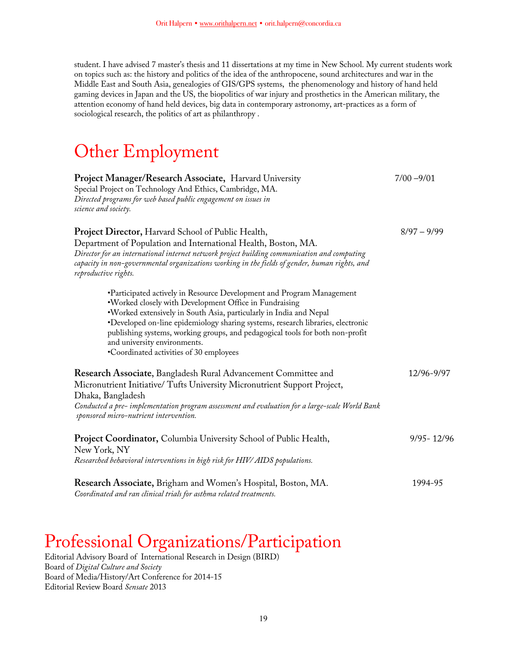student. I have advised 7 master's thesis and 11 dissertations at my time in New School. My current students work on topics such as: the history and politics of the idea of the anthropocene, sound architectures and war in the Middle East and South Asia, genealogies of GIS/GPS systems, the phenomenology and history of hand held gaming devices in Japan and the US, the biopolitics of war injury and prosthetics in the American military, the attention economy of hand held devices, big data in contemporary astronomy, art-practices as a form of sociological research, the politics of art as philanthropy .

# Other Employment

| Project Manager/Research Associate, Harvard University<br>Special Project on Technology And Ethics, Cambridge, MA.<br>Directed programs for web based public engagement on issues in<br>science and society.                                                                                                                                                                                                                                          | $7/00 - 9/01$  |
|-------------------------------------------------------------------------------------------------------------------------------------------------------------------------------------------------------------------------------------------------------------------------------------------------------------------------------------------------------------------------------------------------------------------------------------------------------|----------------|
| Project Director, Harvard School of Public Health,<br>Department of Population and International Health, Boston, MA.<br>Director for an international internet network project building communication and computing<br>capacity in non-governmental organizations working in the fields of gender, human rights, and<br>reproductive rights.                                                                                                          | $8/97 - 9/99$  |
| •Participated actively in Resource Development and Program Management<br>. Worked closely with Development Office in Fundraising<br>.Worked extensively in South Asia, particularly in India and Nepal<br>•Developed on-line epidemiology sharing systems, research libraries, electronic<br>publishing systems, working groups, and pedagogical tools for both non-profit<br>and university environments.<br>•Coordinated activities of 30 employees |                |
| Research Associate, Bangladesh Rural Advancement Committee and<br>Micronutrient Initiative/Tufts University Micronutrient Support Project,<br>Dhaka, Bangladesh<br>Conducted a pre-implementation program assessment and evaluation for a large-scale World Bank<br>sponsored micro-nutrient intervention.                                                                                                                                            | 12/96-9/97     |
| <b>Project Coordinator, Columbia University School of Public Health,</b><br>New York, NY<br>Researched behavioral interventions in high risk for HIV/ AIDS populations.                                                                                                                                                                                                                                                                               | $9/95 - 12/96$ |
| Research Associate, Brigham and Women's Hospital, Boston, MA.<br>Coordinated and ran clinical trials for asthma related treatments.                                                                                                                                                                                                                                                                                                                   | 1994-95        |

# Professional Organizations/Participation

Editorial Advisory Board of International Research in Design (BIRD) Board of *Digital Culture and Society* Board of Media/History/Art Conference for 2014-15 Editorial Review Board *Sensate* 2013